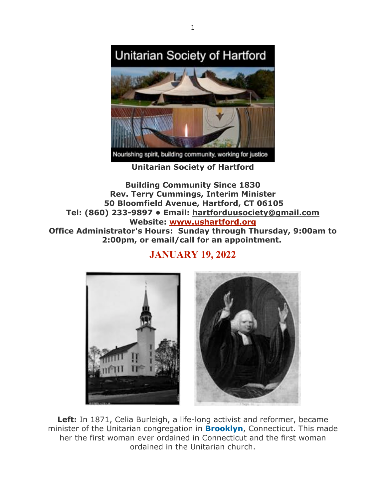

**Unitarian Society of Hartford**

**Building Community Since 1830 Rev. Terry Cummings, Interim Minister 50 Bloomfield Avenue, Hartford, CT 06105 Tel: (860) 233-9897 • Email: hartforduusociety@gmail.com Website: www.ushartford.org Office Administrator's Hours: Sunday through Thursday, 9:00am to 2:00pm, or email/call for an appointment.**

# **JANUARY 19, 2022**



**Left:** In 1871, Celia Burleigh, a life-long activist and reformer, became minister of the Unitarian congregation in **Brooklyn**, Connecticut. This made her the first woman ever ordained in Connecticut and the first woman ordained in the Unitarian church.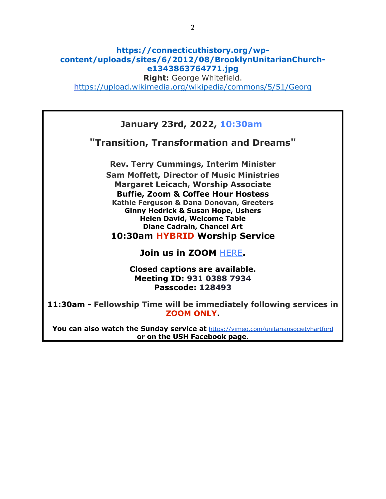## **https://connecticuthistory.org/wpcontent/uploads/sites/6/2012/08/BrooklynUnitarianChurche1343863764771.jpg**

**Right:** George Whitefield.

https://upload.wikimedia.org/wikipedia/commons/5/51/Georg

## **January 23rd, 2022, 10:30am**

**"Transition, Transformation and Dreams"**

**Rev. Terry Cummings, Interim Minister Sam Moffett, Director of Music Ministries Margaret Leicach, Worship Associate Buffie, Zoom & Coffee Hour Hostess Kathie Ferguson & Dana Donovan, Greeters Ginny Hedrick & Susan Hope, Ushers Helen David, Welcome Table Diane Cadrain, Chancel Art 10:30am HYBRID Worship Service**

## **Join us in ZOOM** HERE**.**

**Closed captions are available. Meeting ID: 931 0388 7934 Passcode: 128493**

**11:30am - Fellowship Time will be immediately following services in ZOOM ONLY.**

**You can also watch the Sunday service at** https://vimeo.com/unitariansocietyhartford **or on the USH Facebook page.**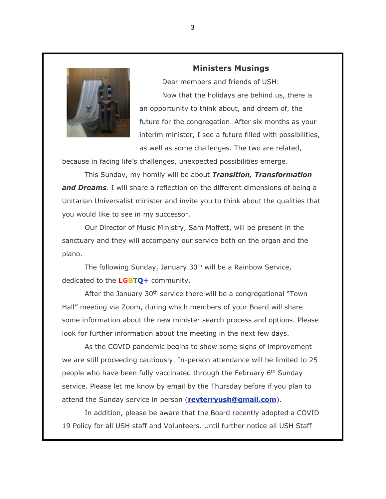

### **Ministers Musings**

Dear members and friends of USH: Now that the holidays are behind us, there is an opportunity to think about, and dream of, the future for the congregation. After six months as your interim minister, I see a future filled with possibilities, as well as some challenges. The two are related,

because in facing life's challenges, unexpected possibilities emerge.

This Sunday, my homily will be about *Transition, Transformation and Dreams*. I will share a reflection on the different dimensions of being a Unitarian Universalist minister and invite you to think about the qualities that you would like to see in my successor.

Our Director of Music Ministry, Sam Moffett, will be present in the sanctuary and they will accompany our service both on the organ and the piano.

The following Sunday, January 30<sup>th</sup> will be a Rainbow Service, dedicated to the **LGBTQ+** community.

After the January 30<sup>th</sup> service there will be a congregational "Town Hall" meeting via Zoom, during which members of your Board will share some information about the new minister search process and options. Please look for further information about the meeting in the next few days.

As the COVID pandemic begins to show some signs of improvement we are still proceeding cautiously. In-person attendance will be limited to 25 people who have been fully vaccinated through the February 6<sup>th</sup> Sunday service. Please let me know by email by the Thursday before if you plan to attend the Sunday service in person (**revterryush@gmail.com**).

In addition, please be aware that the Board recently adopted a COVID 19 Policy for all USH staff and Volunteers. Until further notice all USH Staff

3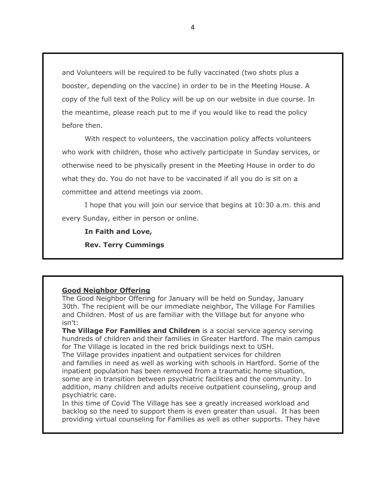and Volunteers will be required to be fully vaccinated (two shots plus a booster, depending on the vaccine) in order to be in the Meeting House. A copy of the full text of the Policy will be up on our website in due course. In the meantime, please reach put to me if you would like to read the policy before then.

With respect to volunteers, the vaccination policy affects volunteers who work with children, those who actively participate in Sunday services, or otherwise need to be physically present in the Meeting House in order to do what they do. You do not have to be vaccinated if all you do is sit on a committee and attend meetings via zoom.

I hope that you will join our service that begins at 10:30 a.m. this and every Sunday, either in person or online.

**In Faith and Love,** 

**Rev. Terry Cummings**

### **Good Neighbor Offering**

The Good Neighbor Offering for January will be held on Sunday, January 30th. The recipient will be our immediate neighbor, The Village For Families and Children. Most of us are familiar with the Village but for anyone who isn't:

**The Village For Families and Children** is a social service agency serving hundreds of children and their families in Greater Hartford. The main campus for The Village is located in the red brick buildings next to USH. The Village provides inpatient and outpatient services for children and families in need as well as working with schools in Hartford. Some of the inpatient population has been removed from a traumatic home situation, some are in transition between psychiatric facilities and the community. In addition, many children and adults receive outpatient counseling, group and psychiatric care.

In this time of Covid The Village has see a greatly increased workload and backlog so the need to support them is even greater than usual. It has been providing virtual counseling for Families as well as other supports. They have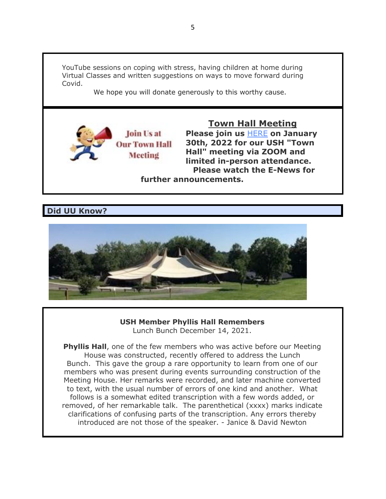YouTube sessions on coping with stress, having children at home during Virtual Classes and written suggestions on ways to move forward during Covid.

We hope you will donate generously to this worthy cause.



## **Town Hall Meeting**

**Please join us** HERE **on January 30th, 2022 for our USH "Town Hall" meeting via ZOOM and limited in-person attendance. Please watch the E-News for** 

**further announcements.**

**Did UU Know?**



### **USH Member Phyllis Hall Remembers** Lunch Bunch December 14, 2021.

**Phyllis Hall**, one of the few members who was active before our Meeting House was constructed, recently offered to address the Lunch Bunch. This gave the group a rare opportunity to learn from one of our members who was present during events surrounding construction of the Meeting House. Her remarks were recorded, and later machine converted to text, with the usual number of errors of one kind and another. What follows is a somewhat edited transcription with a few words added, or removed, of her remarkable talk. The parenthetical (xxxx) marks indicate clarifications of confusing parts of the transcription. Any errors thereby introduced are not those of the speaker. - Janice & David Newton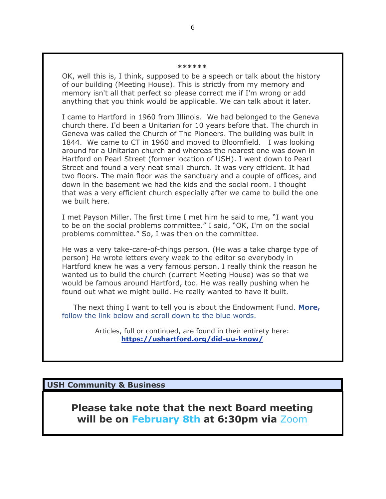#### **\*\*\*\*\*\***

OK, well this is, I think, supposed to be a speech or talk about the history of our building (Meeting House). This is strictly from my memory and memory isn't all that perfect so please correct me if I'm wrong or add anything that you think would be applicable. We can talk about it later.

I came to Hartford in 1960 from Illinois. We had belonged to the Geneva church there. I'd been a Unitarian for 10 years before that. The church in Geneva was called the Church of The Pioneers. The building was built in 1844. We came to CT in 1960 and moved to Bloomfield. I was looking around for a Unitarian church and whereas the nearest one was down in Hartford on Pearl Street (former location of USH). I went down to Pearl Street and found a very neat small church. It was very efficient. It had two floors. The main floor was the sanctuary and a couple of offices, and down in the basement we had the kids and the social room. I thought that was a very efficient church especially after we came to build the one we built here.

I met Payson Miller. The first time I met him he said to me, "I want you to be on the social problems committee." I said, "OK, I'm on the social problems committee." So, I was then on the committee.

He was a very take-care-of-things person. (He was a take charge type of person) He wrote letters every week to the editor so everybody in Hartford knew he was a very famous person. I really think the reason he wanted us to build the church (current Meeting House) was so that we would be famous around Hartford, too. He was really pushing when he found out what we might build. He really wanted to have it built.

The next thing I want to tell you is about the Endowment Fund. **More,** follow the link below and scroll down to the blue words.

> Articles, full or continued, are found in their entirety here: **https://ushartford.org/did-uu-know/**

**USH Community & Business**

**Please take note that the next Board meeting will be on February 8th at 6:30pm via** Zoom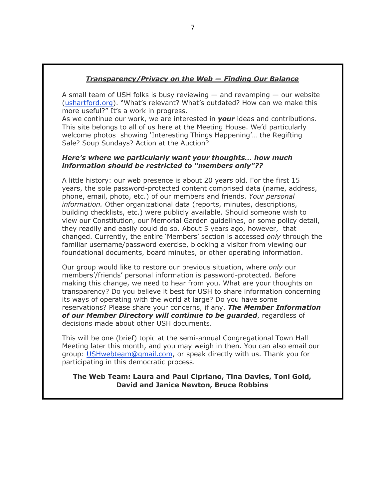### *Transparency/Privacy on the Web — Finding Our Balance*

A small team of USH folks is busy reviewing  $-$  and revamping  $-$  our website (ushartford.org). "What's relevant? What's outdated? How can we make this more useful?" It's a work in progress.

As we continue our work, we are interested in *your* ideas and contributions. This site belongs to all of us here at the Meeting House. We'd particularly welcome photos showing 'Interesting Things Happening'… the Regifting Sale? Soup Sundays? Action at the Auction?

### *Here's where we particularly want your thoughts… how much information should be restricted to "members only"??*

A little history: our web presence is about 20 years old. For the first 15 years, the sole password-protected content comprised data (name, address, phone, email, photo, etc.) of our members and friends. *Your personal information.* Other organizational data (reports, minutes, descriptions, building checklists, etc.) were publicly available. Should someone wish to view our Constitution, our Memorial Garden guidelines, or some policy detail, they readily and easily could do so. About 5 years ago, however, that changed. Currently, the entire 'Members' section is accessed *only* through the familiar username/password exercise, blocking a visitor from viewing our foundational documents, board minutes, or other operating information.

Our group would like to restore our previous situation, where *only* our members'/friends' personal information is password-protected. Before making this change, we need to hear from you. What are your thoughts on transparency? Do you believe it best for USH to share information concerning its ways of operating with the world at large? Do you have some reservations? Please share your concerns, if any. *The Member Information of our Member Directory will continue to be guarded*, regardless of decisions made about other USH documents.

This will be one (brief) topic at the semi-annual Congregational Town Hall Meeting later this month, and you may weigh in then. You can also email our group: USHwebteam@gmail.com, or speak directly with us. Thank you for participating in this democratic process.

### **The Web Team: Laura and Paul Cipriano, Tina Davies, Toni Gold, David and Janice Newton, Bruce Robbins**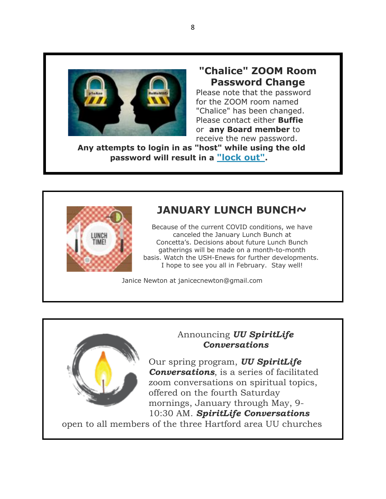

# **"Chalice" ZOOM Room Password Change**

Please note that the password for the ZOOM room named "Chalice" has been changed. Please contact either **Buffie** or **any Board member** to receive the new password.

**Any attempts to login in as "host" while using the old password will result in a "lock out".**



# **JANUARY LUNCH BUNCH~**

Because of the current COVID conditions, we have canceled the January Lunch Bunch at Concetta's. Decisions about future Lunch Bunch gatherings will be made on a month-to-month basis. Watch the USH-Enews for further developments. I hope to see you all in February. Stay well!

Janice Newton at janicecnewton@gmail.com



# Announcing *UU SpiritLife Conversations*

Our spring program, *UU SpiritLife Conversations*, is a series of facilitated zoom conversations on spiritual topics, offered on the fourth Saturday mornings, January through May, 9- 10:30 AM. *SpiritLife Conversations*

open to all members of the three Hartford area UU churches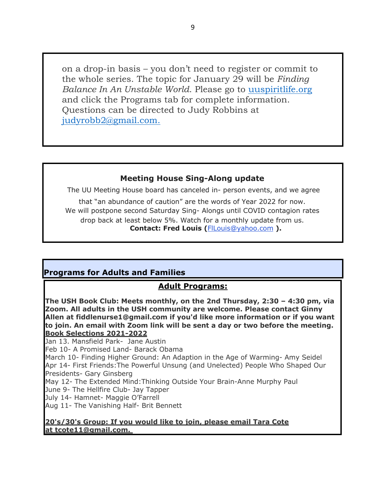on a drop-in basis – you don't need to register or commit to the whole series. The topic for January 29 will be *Finding Balance In An Unstable World. Please go to uuspiritlife.org* and click the Programs tab for complete information. Questions can be directed to Judy Robbins at judyrobb2@gmail.com.

## **Meeting House Sing-Along update**

The UU Meeting House board has canceled in- person events, and we agree

that "an abundance of caution" are the words of Year 2022 for now. We will postpone second Saturday Sing- Alongs until COVID contagion rates drop back at least below 5%. Watch for a monthly update from us. **Contact: Fred Louis (**FlLouis@yahoo.com **).**

## **Programs for Adults and Families**

## **Adult Programs:**

**The USH Book Club: Meets monthly, on the 2nd Thursday, 2:30 – 4:30 pm, via Zoom. All adults in the USH community are welcome. Please contact Ginny Allen at fiddlenurse1@gmail.com if you'd like more information or if you want to join. An email with Zoom link will be sent a day or two before the meeting. Book Selections 2021-2022**

Jan 13. Mansfield Park- Jane Austin

Feb 10- A Promised Land- Barack Obama

March 10- Finding Higher Ground: An Adaption in the Age of Warming- Amy Seidel Apr 14- First Friends:The Powerful Unsung (and Unelected) People Who Shaped Our Presidents- Gary Ginsberg

May 12- The Extended Mind:Thinking Outside Your Brain-Anne Murphy Paul

June 9- The Hellfire Club- Jay Tapper

July 14- Hamnet- Maggie O'Farrell

Aug 11- The Vanishing Half- Brit Bennett

### **20's/30's Group: If you would like to join, please email Tara Cote at tcote11@gmail.com.**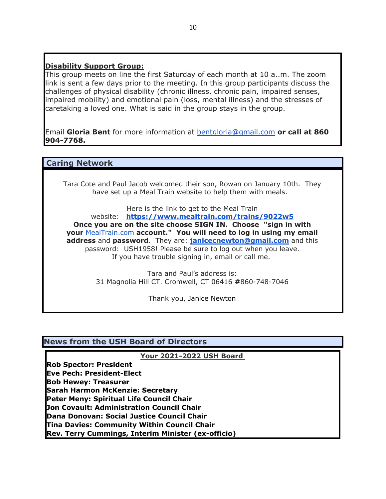## **Disability Support Group:**

This group meets on line the first Saturday of each month at 10 a..m. The zoom link is sent a few days prior to the meeting. In this group participants discuss the challenges of physical disability (chronic illness, chronic pain, impaired senses, impaired mobility) and emotional pain (loss, mental illness) and the stresses of caretaking a loved one. What is said in the group stays in the group.

Email **Gloria Bent** for more information at bentgloria@gmail.com **or call at 860 904-7768.**

## **Caring Network**

Tara Cote and Paul Jacob welcomed their son, Rowan on January 10th. They have set up a Meal Train website to help them with meals.

Here is the link to get to the Meal Train

website: **https://www.mealtrain.com/trains/9022w5 Once you are on the site choose SIGN IN. Choose "sign in with your** MealTrain.com **account." You will need to log in using my email address** and **password**. They are: **janicecnewton@gmail.com** and this password: USH1958! Please be sure to log out when you leave. If you have trouble signing in, email or call me.

> Tara and Paul's address is: 31 Magnolia Hill CT. Cromwell, CT 06416 **#**860-748-7046

> > Thank you, Janice Newton

## **News from the USH Board of Directors**

#### **Your 2021-2022 USH Board**

**Rob Spector: President Eve Pech: President-Elect Bob Hewey: Treasurer Sarah Harmon McKenzie: Secretary Peter Meny: Spiritual Life Council Chair Jon Covault: Administration Council Chair Dana Donovan: Social Justice Council Chair Tina Davies: Community Within Council Chair Rev. Terry Cummings, Interim Minister (ex-officio)**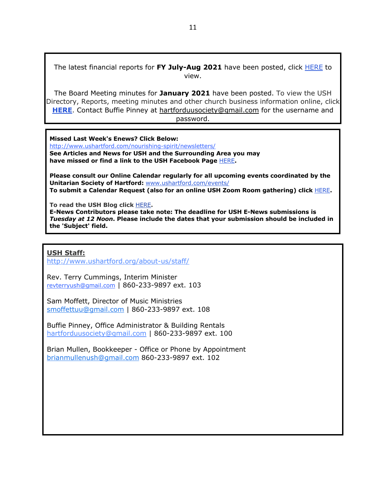The latest financial reports for **FY July-Aug 2021** have been posted, click HERE to view.

The Board Meeting minutes for **January 2021** have been posted. To view the USH Directory, Reports, meeting minutes and other church business information online, click **HERE**. Contact Buffie Pinney at hartforduusociety@gmail.com for the username and

password.

**Missed Last Week's Enews? Click Below:**

http://www.ushartford.com/nourishing-spirit/newsletters/ **See Articles and News for USH and the Surrounding Area you may have missed or find a link to the USH Facebook Page** HERE**.**

**Please consult our Online Calendar regularly for all upcoming events coordinated by the Unitarian Society of Hartford:** www.ushartford.com/events/ **To submit a Calendar Request (also for an online USH Zoom Room gathering) click** HERE**.**

**To read the USH Blog click** HERE**.**

**E-News Contributors please take note: The deadline for USH E-News submissions is**  *Tuesday at 12 Noon***. Please include the dates that your submission should be included in the 'Subject' field.**

### **USH Staff:**

http://www.ushartford.org/about-us/staff/

Rev. Terry Cummings, Interim Minister revterryush@gmail.com | 860-233-9897 ext. 103

Sam Moffett, Director of Music Ministries smoffettuu@gmail.com | 860-233-9897 ext. 108

Buffie Pinney, Office Administrator & Building Rentals hartforduusociety@gmail.com | 860-233-9897 ext. 100

Brian Mullen, Bookkeeper - Office or Phone by Appointment brianmullenush@gmail.com 860-233-9897 ext. 102